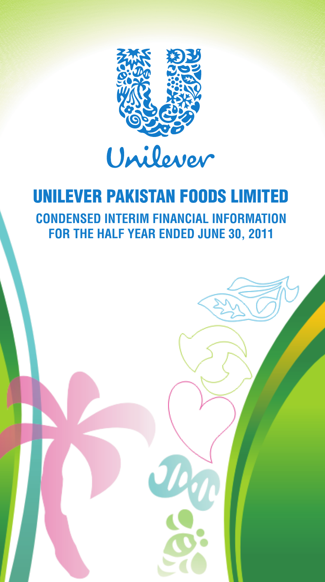

# UNILEVER PAKISTAN FOODS LIMITED **CONDENSED INTERIM FINANCIAL INFORMATION FOR THE HALF YEAR ENDED JUNE 30, 2011**

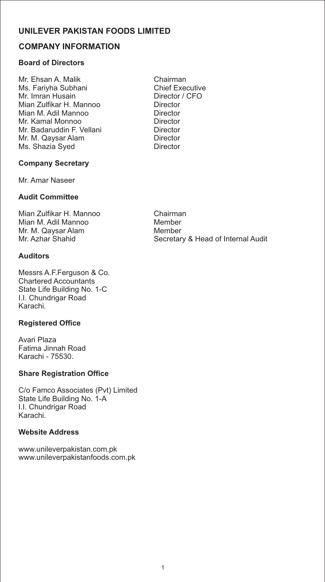# **COMPANY INFORMATION**

# **Board of Directors**

Mr. Ehsan A. Malik **Chairman**<br>Ms. Fariyha Subhani **Chief Executive** Ms. Fariyha Subhani Chief Executive Mr. Imran Husain Director / CFO Mian Zulfikar H. Mannoo Director Mian M. Adil Mannoo Director Mr. Kamal Monnoo Mr. Badaruddin F. Vellani **Director** Mr. M. Qaysar Alam Director Ms. Shazia Syed

### **Company Secretary**

Mr. Amar Naseer

### **Audit Committee**

Mian Zulfikar H. Mannoo Chairman Mian M. Adil Mannoo Mr. M. Qaysar Alam Member<br>Mr. Azhar Shahid Mr. Secretar

# **Auditors**

Messrs A.F.Ferguson & Co. Chartered Accountants State Life Building No. 1-C I.I. Chundrigar Road Karachi.

#### **Registered Office**

Avari Plaza Fatima Jinnah Road Karachi - 75530.

#### **Share Registration Office**

C/o Famco Associates (Pvt) Limited State Life Building No. 1-A I.I. Chundrigar Road Karachi.

#### **Website Address**

www.unileverpakistan.com.pk www.unileverpakistanfoods.com.pk

Secretary & Head of Internal Audit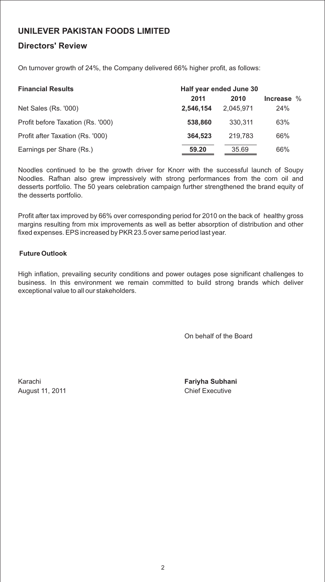# **Directors' Review**

On turnover growth of 24%, the Company delivered 66% higher profit, as follows:

| <b>Financial Results</b>          | Half year ended June 30 |           |              |
|-----------------------------------|-------------------------|-----------|--------------|
|                                   | 2011                    | 2010      | Increase $%$ |
| Net Sales (Rs. '000)              | 2.546.154               | 2.045.971 | 24%          |
| Profit before Taxation (Rs. '000) | 538,860                 | 330.311   | 63%          |
| Profit after Taxation (Rs. '000)  | 364.523                 | 219.783   | 66%          |
| Earnings per Share (Rs.)          | 59.20                   | 35.69     | 66%          |

Noodles continued to be the growth driver for Knorr with the successful launch of Soupy Noodles. Rafhan also grew impressively with strong performances from the corn oil and desserts portfolio. The 50 years celebration campaign further strengthened the brand equity of the desserts portfolio.

Profit after tax improved by 66% over corresponding period for 2010 on the back of healthy gross margins resulting from mix improvements as well as better absorption of distribution and other fixed expenses. EPS increased by PKR 23.5 over same period last year.

#### **Future Outlook**

High inflation, prevailing security conditions and power outages pose significant challenges to business. In this environment we remain committed to build strong brands which deliver exceptional value to all our stakeholders.

On behalf of the Board

August 11, 2011 **Chief Executive** 

Karachi **Fariyha Subhani**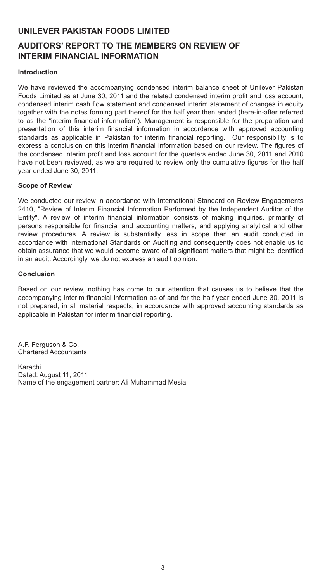# **AUDITORS' REPORT TO THE MEMBERS ON REVIEW OF INTERIM FINANCIAL INFORMATION**

#### **Introduction**

We have reviewed the accompanying condensed interim balance sheet of Unilever Pakistan Foods Limited as at June 30, 2011 and the related condensed interim profit and loss account, condensed interim cash flow statement and condensed interim statement of changes in equity together with the notes forming part thereof for the half year then ended (here-in-after referred to as the "interim financial information"). Management is responsible for the preparation and presentation of this interim financial information in accordance with approved accounting standards as applicable in Pakistan for interim financial reporting. Our responsibility is to express a conclusion on this interim financial information based on our review. The figures of the condensed interim profit and loss account for the quarters ended June 30, 2011 and 2010 have not been reviewed, as we are required to review only the cumulative figures for the half year ended June 30, 2011.

#### **Scope of Review**

We conducted our review in accordance with International Standard on Review Engagements 2410, "Review of Interim Financial Information Performed by the Independent Auditor of the Entity". A review of interim financial information consists of making inquiries, primarily of persons responsible for financial and accounting matters, and applying analytical and other review procedures. A review is substantially less in scope than an audit conducted in accordance with International Standards on Auditing and consequently does not enable us to obtain assurance that we would become aware of all significant matters that might be identified in an audit. Accordingly, we do not express an audit opinion.

#### **Conclusion**

Based on our review, nothing has come to our attention that causes us to believe that the accompanying interim financial information as of and for the half year ended June 30, 2011 is not prepared, in all material respects, in accordance with approved accounting standards as applicable in Pakistan for interim financial reporting.

A.F. Ferguson & Co. Chartered Accountants

Karachi Dated: August 11, 2011 Name of the engagement partner: Ali Muhammad Mesia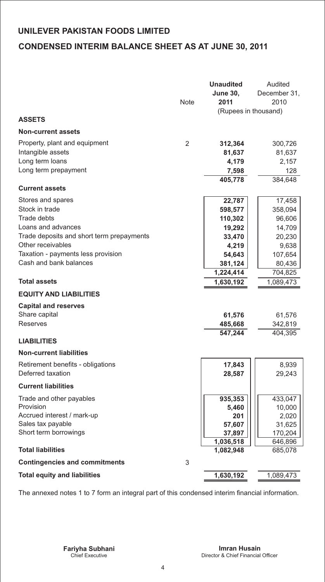# **UNILEVER PAKISTAN FOODS LIMITED CONDENSED INTERIM BALANCE SHEET AS AT JUNE 30, 2011**

|                                           |      | <b>Unaudited</b>       | Audited      |
|-------------------------------------------|------|------------------------|--------------|
|                                           |      | <b>June 30,</b>        | December 31, |
|                                           | Note | 2011                   | 2010         |
|                                           |      | (Rupees in thousand)   |              |
| <b>ASSETS</b>                             |      |                        |              |
| <b>Non-current assets</b>                 |      |                        |              |
| Property, plant and equipment             | 2    | 312,364                | 300,726      |
| Intangible assets                         |      | 81,637                 | 81,637       |
| Long term loans                           |      | 4,179                  | 2,157        |
| Long term prepayment                      |      | 7,598                  | 128          |
|                                           |      | 405,778                | 384,648      |
| <b>Current assets</b>                     |      |                        |              |
| Stores and spares                         |      | 22,787                 | 17,458       |
| Stock in trade                            |      | 598,577                | 358,094      |
| <b>Trade debts</b>                        |      | 110,302                | 96,606       |
| Loans and advances                        |      | 19,292                 | 14,709       |
| Trade deposits and short term prepayments |      | 33,470                 | 20,230       |
| Other receivables                         |      | 4,219                  | 9,638        |
| Taxation - payments less provision        |      | 54,643                 | 107,654      |
| Cash and bank balances                    |      | 381,124                | 80,436       |
|                                           |      | 1,224,414              | 704,825      |
| <b>Total assets</b>                       |      | 1,630,192              | 1,089,473    |
| <b>EQUITY AND LIABILITIES</b>             |      |                        |              |
| <b>Capital and reserves</b>               |      |                        |              |
| Share capital                             |      | 61,576                 | 61,576       |
| Reserves                                  |      | 485,668                | 342,819      |
|                                           |      | 547,244                | 404,395      |
| <b>LIABILITIES</b>                        |      |                        |              |
| <b>Non-current liabilities</b>            |      |                        |              |
| Retirement benefits - obligations         |      | 17,843                 | 8,939        |
| Deferred taxation                         |      | 28,587                 | 29,243       |
| <b>Current liabilities</b>                |      |                        |              |
| Trade and other payables                  |      | 935,353                | 433,047      |
| Provision                                 |      | 5,460                  | 10,000       |
| Accrued interest / mark-up                |      | 201                    | 2,020        |
| Sales tax payable                         |      | 57,607                 | 31,625       |
| Short term borrowings                     |      | 37,897                 | 170,204      |
| <b>Total liabilities</b>                  |      | 1,036,518<br>1,082,948 | 646,896      |
|                                           |      |                        | 685,078      |
| <b>Contingencies and commitments</b>      | 3    |                        |              |
| <b>Total equity and liabilities</b>       |      | 1,630,192              | 1,089,473    |

The annexed notes 1 to 7 form an integral part of this condensed interim financial information.

-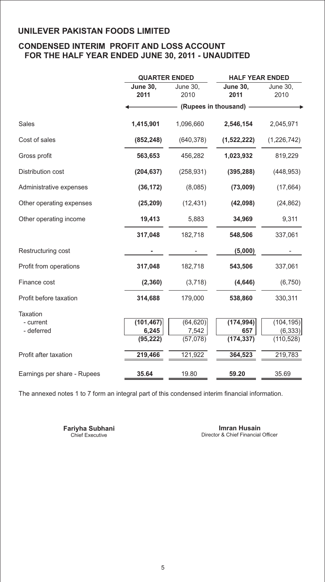# **CONDENSED INTERIM PROFIT AND LOSS ACCOUNT FOR THE HALF YEAR ENDED JUNE 30, 2011 - UNAUDITED**

|                             | <b>QUARTER ENDED</b>    |                             | <b>HALF YEAR ENDED</b> |                        |
|-----------------------------|-------------------------|-----------------------------|------------------------|------------------------|
|                             | <b>June 30,</b><br>2011 | <b>June 30,</b><br>June 30, |                        | <b>June 30.</b>        |
|                             |                         | 2010                        | 2011                   | 2010                   |
|                             |                         |                             | (Rupees in thousand) - |                        |
| <b>Sales</b>                | 1,415,901               | 1,096,660                   | 2,546,154              | 2,045,971              |
| Cost of sales               | (852, 248)              | (640, 378)                  | (1,522,222)            | (1,226,742)            |
| Gross profit                | 563,653                 | 456,282                     | 1,023,932              | 819,229                |
| Distribution cost           | (204, 637)              | (258, 931)                  | (395, 288)             | (448, 953)             |
| Administrative expenses     | (36, 172)               | (8,085)                     | (73,009)               | (17, 664)              |
| Other operating expenses    | (25, 209)               | (12, 431)                   | (42,098)               | (24, 862)              |
| Other operating income      | 19,413                  | 5,883                       | 34,969                 | 9,311                  |
|                             | 317,048                 | 182,718                     | 548,506                | 337,061                |
| Restructuring cost          |                         |                             | (5,000)                |                        |
| Profit from operations      | 317,048                 | 182,718                     | 543,506                | 337,061                |
| Finance cost                | (2, 360)                | (3,718)                     | (4,646)                | (6, 750)               |
| Profit before taxation      | 314,688                 | 179,000                     | 538,860                | 330,311                |
| <b>Taxation</b>             |                         |                             |                        |                        |
| - current                   | (101, 467)              | (64, 620)                   | (174, 994)             | (104, 195)             |
| - deferred                  | 6,245<br>(95, 222)      | 7,542<br>(57,078)           | 657<br>(174, 337)      | (6, 333)<br>(110, 528) |
|                             |                         |                             |                        |                        |
| Profit after taxation       | 219,466                 | 121,922                     | 364,523                | 219,783                |
| Earnings per share - Rupees | 35.64                   | 19.80                       | 59.20                  | 35.69                  |

The annexed notes 1 to 7 form an integral part of this condensed interim financial information.

**Fariyha Subhani**<br>Chief Executive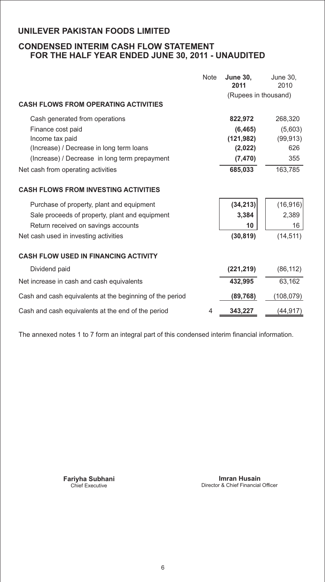# **CONDENSED INTERIM CASH FLOW STATEMENT FOR THE HALF YEAR ENDED JUNE 30, 2011 - UNAUDITED**

|                                                          | <b>Note</b> | <b>June 30,</b><br>2011 | June 30,<br>2010 |
|----------------------------------------------------------|-------------|-------------------------|------------------|
|                                                          |             | (Rupees in thousand)    |                  |
| <b>CASH FLOWS FROM OPERATING ACTIVITIES</b>              |             |                         |                  |
| Cash generated from operations                           |             | 822,972                 | 268,320          |
| Finance cost paid                                        |             | (6, 465)                | (5,603)          |
| Income tax paid                                          |             | (121, 982)              | (99, 913)        |
| (Increase) / Decrease in long term loans                 |             | (2,022)                 | 626              |
| (Increase) / Decrease in long term prepayment            |             | (7, 470)                | 355              |
| Net cash from operating activities                       |             | 685,033                 | 163.785          |
| <b>CASH FLOWS FROM INVESTING ACTIVITIES</b>              |             |                         |                  |
| Purchase of property, plant and equipment                |             | (34, 213)               | (16, 916)        |
| Sale proceeds of property, plant and equipment           |             | 3,384                   | 2,389            |
| Return received on savings accounts                      |             | 10                      | 16               |
| Net cash used in investing activities                    |             | (30, 819)               | (14, 511)        |
| <b>CASH FLOW USED IN FINANCING ACTIVITY</b>              |             |                         |                  |
| Dividend paid                                            |             | (221, 219)              | (86, 112)        |
| Net increase in cash and cash equivalents                |             | 432,995                 | 63,162           |
| Cash and cash equivalents at the beginning of the period |             | (89, 768)               | (108, 079)       |
| Cash and cash equivalents at the end of the period       | 4           | 343,227                 | (44,917)         |

The annexed notes 1 to 7 form an integral part of this condensed interim financial information.

**Fariyha Subhani**<br>Chief Executive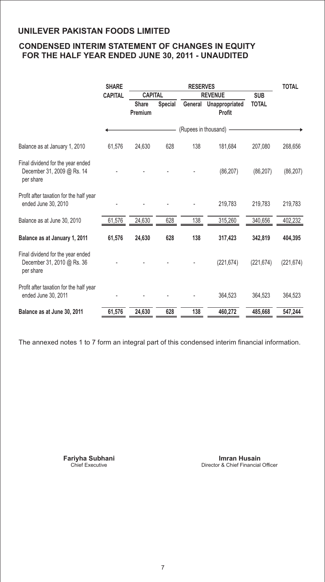# **CONDENSED INTERIM STATEMENT OF CHANGES IN EQUITY FOR THE HALF YEAR ENDED JUNE 30, 2011 - UNAUDITED**

|                                                                              | <b>SHARE</b>   |                         |                | <b>RESERVES</b>      |                                         |              | <b>TOTAL</b> |
|------------------------------------------------------------------------------|----------------|-------------------------|----------------|----------------------|-----------------------------------------|--------------|--------------|
|                                                                              | <b>CAPITAL</b> | <b>CAPITAL</b>          |                |                      | <b>REVENUE</b>                          | <b>SUB</b>   |              |
|                                                                              |                | <b>Share</b><br>Premium | <b>Special</b> |                      | General Unappropriated<br><b>Profit</b> | <b>TOTAL</b> |              |
|                                                                              |                |                         |                | (Rupees in thousand) |                                         |              |              |
| Balance as at January 1, 2010                                                | 61,576         | 24,630                  | 628            | 138                  | 181,684                                 | 207,080      | 268,656      |
| Final dividend for the year ended<br>December 31, 2009 @ Rs. 14<br>per share |                |                         |                |                      | (86, 207)                               | (86, 207)    | (86, 207)    |
| Profit after taxation for the half year<br>ended June 30, 2010               |                |                         |                |                      | 219,783                                 | 219,783      | 219,783      |
| Balance as at June 30, 2010                                                  | 61,576         | 24,630                  | 628            | 138                  | 315,260                                 | 340,656      | 402,232      |
| Balance as at January 1, 2011                                                | 61,576         | 24,630                  | 628            | 138                  | 317,423                                 | 342,819      | 404,395      |
| Final dividend for the year ended<br>December 31, 2010 @ Rs. 36<br>per share |                |                         |                |                      | (221, 674)                              | (221, 674)   | (221, 674)   |
| Profit after taxation for the half year<br>ended June 30, 2011               |                |                         |                |                      | 364,523                                 | 364,523      | 364,523      |
| Balance as at June 30, 2011                                                  | 61,576         | 24,630                  | 628            | 138                  | 460,272                                 | 485,668      | 547,244      |

The annexed notes 1 to 7 form an integral part of this condensed interim financial information.

**Fariyha Subhani**<br>Chief Executive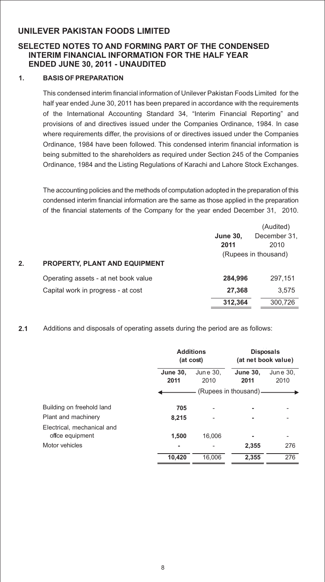# **SELECTED NOTES TO AND FORMING PART OF THE CONDENSED INTERIM FINANCIAL INFORMATION FOR THE HALF YEAR ENDED JUNE 30, 2011 - UNAUDITED**

#### **1. BASIS OF PREPARATION**

This condensed interim financial information of Unilever Pakistan Foods Limited for the half year ended June 30, 2011 has been prepared in accordance with the requirements of the International Accounting Standard 34, "Interim Financial Reporting" and provisions of and directives issued under the Companies Ordinance, 1984. In case where requirements differ, the provisions of or directives issued under the Companies Ordinance, 1984 have been followed. This condensed interim financial information is being submitted to the shareholders as required under Section 245 of the Companies Ordinance, 1984 and the Listing Regulations of Karachi and Lahore Stock Exchanges.

The accounting policies and the methods of computation adopted in the preparation of this condensed interim financial information are the same as those applied in the preparation of the financial statements of the Company for the year ended December 31, 2010.

|    |                                      |                 | (Audited)            |
|----|--------------------------------------|-----------------|----------------------|
|    |                                      | <b>June 30,</b> | December 31,         |
|    |                                      | 2011            | 2010                 |
|    |                                      |                 | (Rupees in thousand) |
| 2. | <b>PROPERTY, PLANT AND EQUIPMENT</b> |                 |                      |
|    | Operating assets - at net book value | 284.996         | 297.151              |
|    | Capital work in progress - at cost   | 27,368          | 3.575                |
|    |                                      | 312,364         | 300,726              |

#### **2.1** Additions and disposals of operating assets during the period are as follows:

|                            | <b>Additions</b><br>(at cost) |                  |                       | <b>Disposals</b><br>(at net book value) |
|----------------------------|-------------------------------|------------------|-----------------------|-----------------------------------------|
|                            | <b>June 30,</b><br>2011       | June 30,<br>2010 |                       | June 30,<br>2010                        |
|                            |                               |                  | (Rupees in thousand)- |                                         |
| Building on freehold land  | 705                           |                  |                       |                                         |
| Plant and machinery        | 8,215                         |                  |                       |                                         |
| Electrical, mechanical and |                               |                  |                       |                                         |
| offce equipment            | 1,500                         | 16.006           |                       |                                         |
| Motor vehicles             | ۰                             |                  | 2,355                 | 276                                     |
|                            | 10.420                        | 16.006           | 2.355                 | 276                                     |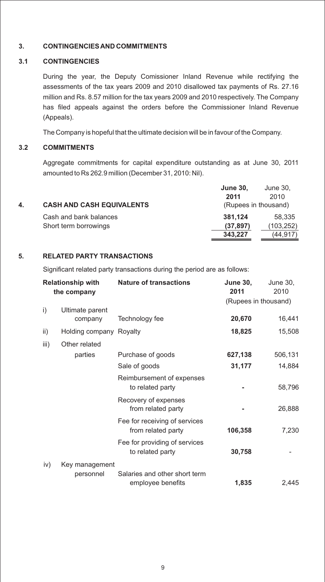#### **3. CONTINGENCIES AND COMMITMENTS**

#### **3.1 CONTINGENCIES**

During the year, the Deputy Comissioner Inland Revenue while rectifying the assessments of the tax years 2009 and 2010 disallowed tax payments of Rs. 27.16 million and Rs. 8.57 million for the tax years 2009 and 2010 respectively. The Company has filed appeals against the orders before the Commissioner Inland Revenue (Appeals).

The Company is hopeful that the ultimate decision will be in favour of the Company.

#### **3.2 COMMITMENTS**

Aggregate commitments for capital expenditure outstanding as at June 30, 2011 amounted to Rs 262.9 million (December 31, 2010: Nil).

|    |                                  | <b>June 30,</b>      | June 30,  |
|----|----------------------------------|----------------------|-----------|
|    |                                  | 2011                 | 2010      |
| 4. | <b>CASH AND CASH EQUIVALENTS</b> | (Rupees in thousand) |           |
|    | Cash and bank balances           | 381.124              | 58.335    |
|    | Short term borrowings            | (37, 897)            | (103,252) |
|    |                                  | 343.227              | (44.917)  |

#### **5. RELATED PARTY TRANSACTIONS**

Significant related party transactions during the period are as follows:

|      | <b>Relationship with</b><br>the company | <b>Nature of transactions</b>                       | <b>June 30,</b><br>2011 | June 30,<br>2010 |
|------|-----------------------------------------|-----------------------------------------------------|-------------------------|------------------|
|      |                                         |                                                     | (Rupees in thousand)    |                  |
| i)   | Ultimate parent<br>company              | Technology fee                                      | 20,670                  | 16,441           |
| ii)  | Holding company Royalty                 |                                                     | 18,825                  | 15,508           |
| iii) | Other related                           |                                                     |                         |                  |
|      | parties                                 | Purchase of goods                                   | 627,138                 | 506,131          |
|      |                                         | Sale of goods                                       | 31,177                  | 14,884           |
|      |                                         | Reimbursement of expenses<br>to related party       |                         | 58,796           |
|      |                                         | Recovery of expenses<br>from related party          |                         | 26,888           |
|      |                                         | Fee for receiving of services<br>from related party | 106,358                 | 7,230            |
|      |                                         | Fee for providing of services<br>to related party   | 30,758                  |                  |
| iv)  | Key management<br>personnel             | Salaries and other short term<br>employee benefits  | 1,835                   | 2,445            |